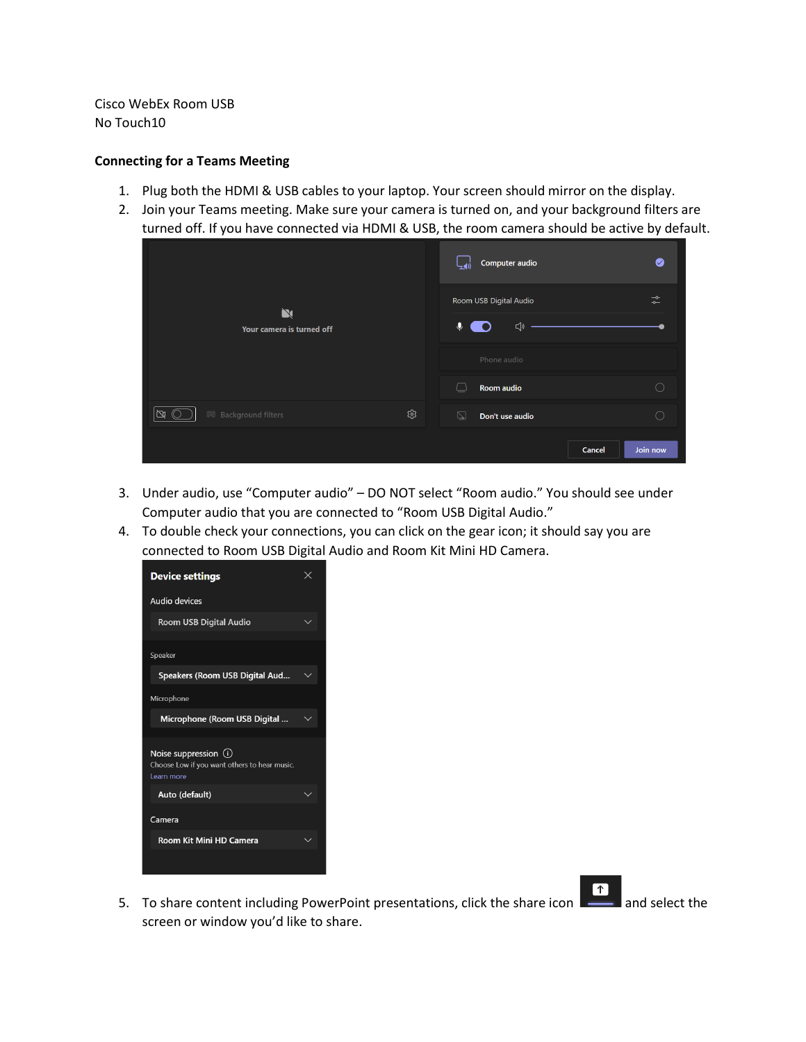Cisco WebEx Room USB No Touch10

#### **Connecting for a Teams Meeting**

- 1. Plug both the HDMI & USB cables to your laptop. Your screen should mirror on the display.
- 2. Join your Teams meeting. Make sure your camera is turned on, and your background filters are turned off. If you have connected via HDMI & USB, the room camera should be active by default.

| $\mathbf N$<br>Your camera is turned off | $\bullet$<br>Computer audio                                                                     |
|------------------------------------------|-------------------------------------------------------------------------------------------------|
|                                          | $\rightarrow$<br>Room USB Digital Audio<br>$\overline{\phantom{0}}$<br>$\hat{\bm{\theta}}$<br>√ |
|                                          | Phone audio                                                                                     |
|                                          | Room audio<br>○<br>└                                                                            |
| ශ<br>$\mathbb{N}$                        | ご<br>∩<br>Don't use audio                                                                       |
|                                          | Join now<br>Cancel                                                                              |

- 3. Under audio, use "Computer audio" DO NOT select "Room audio." You should see under Computer audio that you are connected to "Room USB Digital Audio."
- 4. To double check your connections, you can click on the gear icon; it should say you are connected to Room USB Digital Audio and Room Kit Mini HD Camera.



 $\boxed{\uparrow}$ 5. To share content including PowerPoint presentations, click the share icon **and select the** screen or window you'd like to share.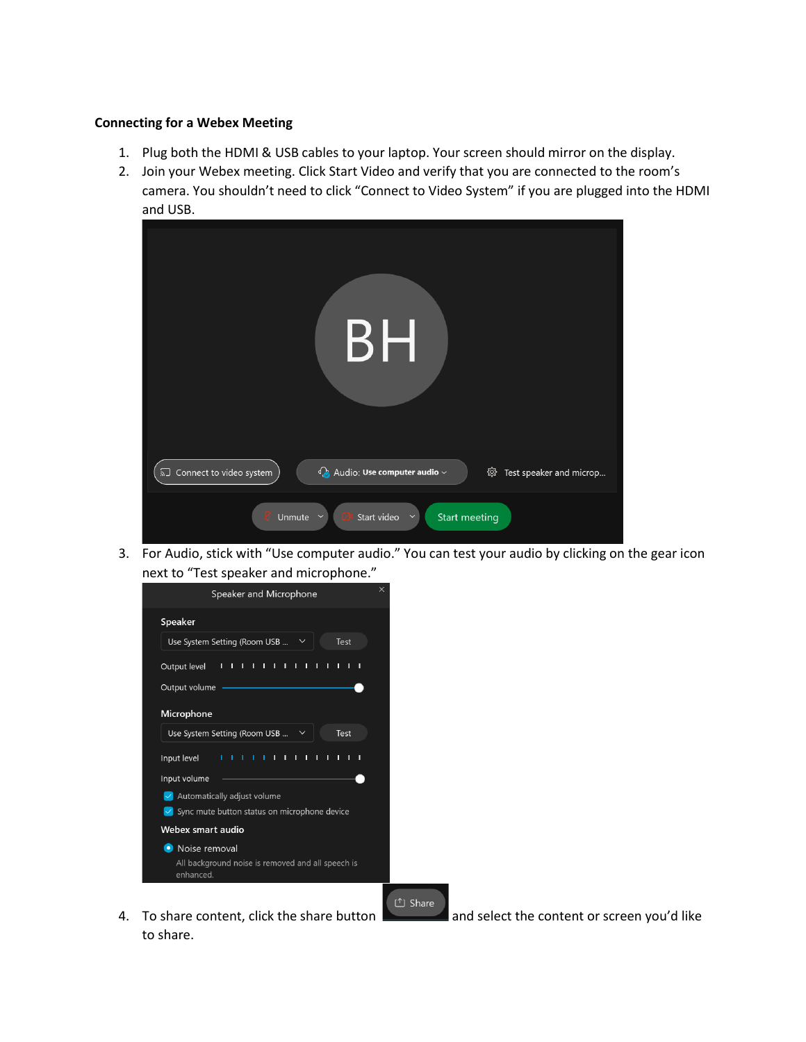#### **Connecting for a Webex Meeting**

- 1. Plug both the HDMI & USB cables to your laptop. Your screen should mirror on the display.
- 2. Join your Webex meeting. Click Start Video and verify that you are connected to the room's camera. You shouldn't need to click "Connect to Video System" if you are plugged into the HDMI and USB.



3. For Audio, stick with "Use computer audio." You can test your audio by clicking on the gear icon next to "Test speaker and microphone."



to share.

4. To share content, click the share button and select the content or screen you'd like